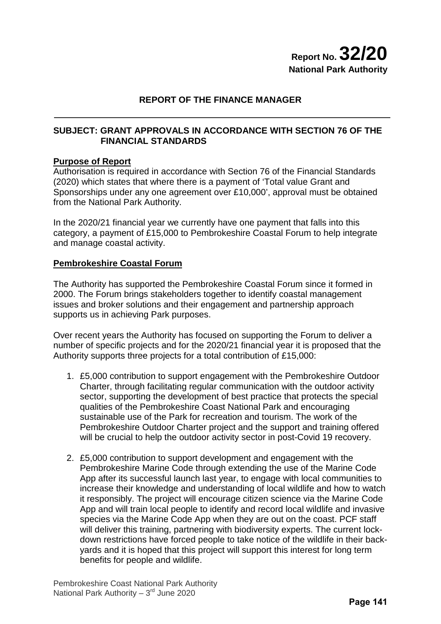# **REPORT OF THE FINANCE MANAGER**

### **SUBJECT: GRANT APPROVALS IN ACCORDANCE WITH SECTION 76 OF THE FINANCIAL STANDARDS**

### **Purpose of Report**

Authorisation is required in accordance with Section 76 of the Financial Standards (2020) which states that where there is a payment of 'Total value Grant and Sponsorships under any one agreement over £10,000', approval must be obtained from the National Park Authority.

In the 2020/21 financial year we currently have one payment that falls into this category, a payment of £15,000 to Pembrokeshire Coastal Forum to help integrate and manage coastal activity.

#### **Pembrokeshire Coastal Forum**

The Authority has supported the Pembrokeshire Coastal Forum since it formed in 2000. The Forum brings stakeholders together to identify coastal management issues and broker solutions and their engagement and partnership approach supports us in achieving Park purposes.

Over recent years the Authority has focused on supporting the Forum to deliver a number of specific projects and for the 2020/21 financial year it is proposed that the Authority supports three projects for a total contribution of £15,000:

- 1. £5,000 contribution to support engagement with the Pembrokeshire Outdoor Charter, through facilitating regular communication with the outdoor activity sector, supporting the development of best practice that protects the special qualities of the Pembrokeshire Coast National Park and encouraging sustainable use of the Park for recreation and tourism. The work of the Pembrokeshire Outdoor Charter project and the support and training offered will be crucial to help the outdoor activity sector in post-Covid 19 recovery.
- 2. £5,000 contribution to support development and engagement with the Pembrokeshire Marine Code through extending the use of the Marine Code App after its successful launch last year, to engage with local communities to increase their knowledge and understanding of local wildlife and how to watch it responsibly. The project will encourage citizen science via the Marine Code App and will train local people to identify and record local wildlife and invasive species via the Marine Code App when they are out on the coast. PCF staff will deliver this training, partnering with biodiversity experts. The current lockdown restrictions have forced people to take notice of the wildlife in their backyards and it is hoped that this project will support this interest for long term benefits for people and wildlife.